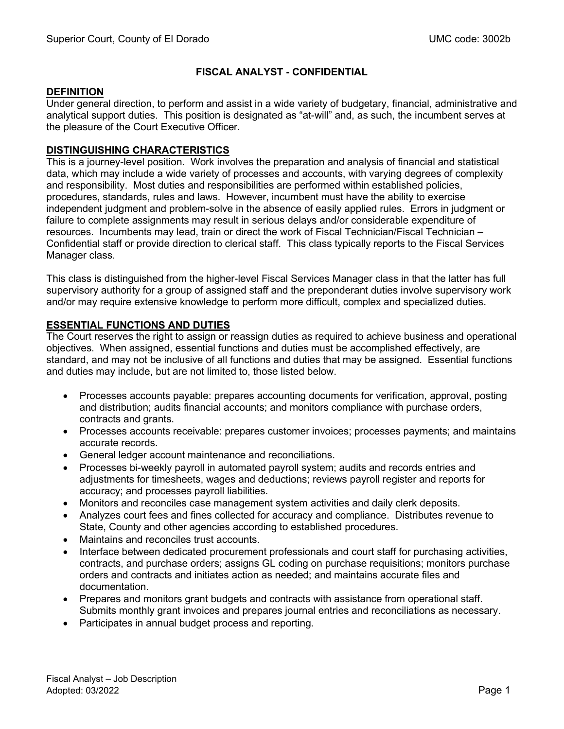## **FISCAL ANALYST - CONFIDENTIAL**

### **DEFINITION**

Under general direction, to perform and assist in a wide variety of budgetary, financial, administrative and analytical support duties. This position is designated as "at-will" and, as such, the incumbent serves at the pleasure of the Court Executive Officer.

### **DISTINGUISHING CHARACTERISTICS**

This is a journey-level position. Work involves the preparation and analysis of financial and statistical data, which may include a wide variety of processes and accounts, with varying degrees of complexity and responsibility. Most duties and responsibilities are performed within established policies, procedures, standards, rules and laws. However, incumbent must have the ability to exercise independent judgment and problem-solve in the absence of easily applied rules. Errors in judgment or failure to complete assignments may result in serious delays and/or considerable expenditure of resources. Incumbents may lead, train or direct the work of Fiscal Technician/Fiscal Technician – Confidential staff or provide direction to clerical staff. This class typically reports to the Fiscal Services Manager class.

This class is distinguished from the higher-level Fiscal Services Manager class in that the latter has full supervisory authority for a group of assigned staff and the preponderant duties involve supervisory work and/or may require extensive knowledge to perform more difficult, complex and specialized duties.

### **ESSENTIAL FUNCTIONS AND DUTIES**

The Court reserves the right to assign or reassign duties as required to achieve business and operational objectives. When assigned, essential functions and duties must be accomplished effectively, are standard, and may not be inclusive of all functions and duties that may be assigned. Essential functions and duties may include, but are not limited to, those listed below.

- Processes accounts payable: prepares accounting documents for verification, approval, posting and distribution; audits financial accounts; and monitors compliance with purchase orders, contracts and grants.
- Processes accounts receivable: prepares customer invoices; processes payments; and maintains accurate records.
- General ledger account maintenance and reconciliations.
- Processes bi-weekly payroll in automated payroll system; audits and records entries and adjustments for timesheets, wages and deductions; reviews payroll register and reports for accuracy; and processes payroll liabilities.
- Monitors and reconciles case management system activities and daily clerk deposits.
- Analyzes court fees and fines collected for accuracy and compliance. Distributes revenue to State, County and other agencies according to established procedures.
- Maintains and reconciles trust accounts.
- Interface between dedicated procurement professionals and court staff for purchasing activities, contracts, and purchase orders; assigns GL coding on purchase requisitions; monitors purchase orders and contracts and initiates action as needed; and maintains accurate files and documentation.
- Prepares and monitors grant budgets and contracts with assistance from operational staff. Submits monthly grant invoices and prepares journal entries and reconciliations as necessary.
- Participates in annual budget process and reporting.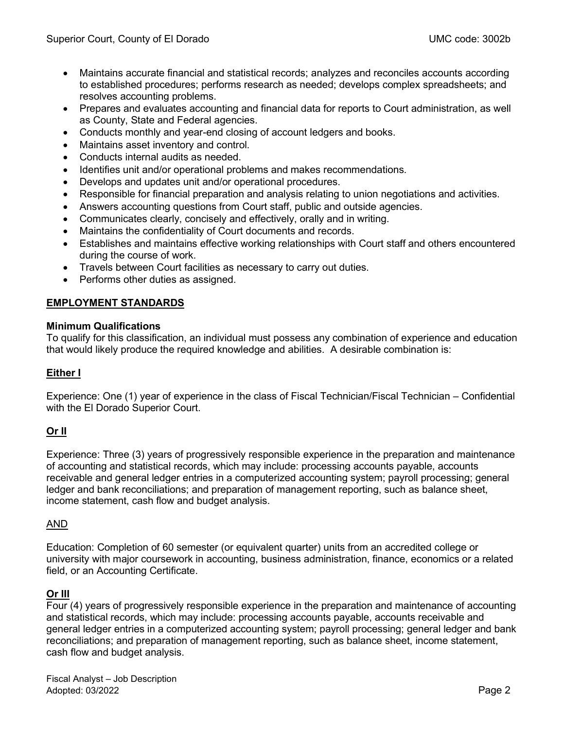- Maintains accurate financial and statistical records; analyzes and reconciles accounts according to established procedures; performs research as needed; develops complex spreadsheets; and resolves accounting problems.
- Prepares and evaluates accounting and financial data for reports to Court administration, as well as County, State and Federal agencies.
- Conducts monthly and year-end closing of account ledgers and books.
- Maintains asset inventory and control.
- Conducts internal audits as needed.
- Identifies unit and/or operational problems and makes recommendations.
- Develops and updates unit and/or operational procedures.
- Responsible for financial preparation and analysis relating to union negotiations and activities.
- Answers accounting questions from Court staff, public and outside agencies.
- Communicates clearly, concisely and effectively, orally and in writing.
- Maintains the confidentiality of Court documents and records.
- Establishes and maintains effective working relationships with Court staff and others encountered during the course of work.
- Travels between Court facilities as necessary to carry out duties.
- Performs other duties as assigned.

## **EMPLOYMENT STANDARDS**

### **Minimum Qualifications**

To qualify for this classification, an individual must possess any combination of experience and education that would likely produce the required knowledge and abilities. A desirable combination is:

### **Either I**

Experience: One (1) year of experience in the class of Fiscal Technician/Fiscal Technician – Confidential with the El Dorado Superior Court.

# **Or II**

Experience: Three (3) years of progressively responsible experience in the preparation and maintenance of accounting and statistical records, which may include: processing accounts payable, accounts receivable and general ledger entries in a computerized accounting system; payroll processing; general ledger and bank reconciliations; and preparation of management reporting, such as balance sheet, income statement, cash flow and budget analysis.

### AND

Education: Completion of 60 semester (or equivalent quarter) units from an accredited college or university with major coursework in accounting, business administration, finance, economics or a related field, or an Accounting Certificate.

### **Or III**

Four (4) years of progressively responsible experience in the preparation and maintenance of accounting and statistical records, which may include: processing accounts payable, accounts receivable and general ledger entries in a computerized accounting system; payroll processing; general ledger and bank reconciliations; and preparation of management reporting, such as balance sheet, income statement, cash flow and budget analysis.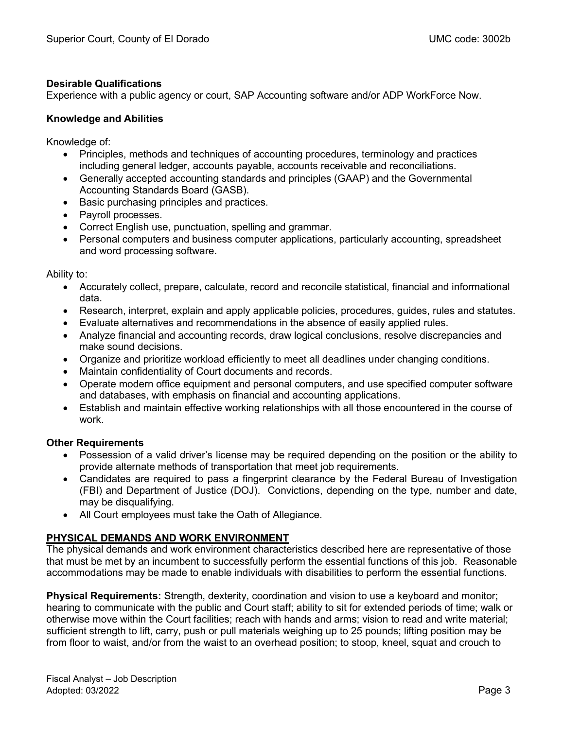## **Desirable Qualifications**

Experience with a public agency or court, SAP Accounting software and/or ADP WorkForce Now.

## **Knowledge and Abilities**

Knowledge of:

- Principles, methods and techniques of accounting procedures, terminology and practices including general ledger, accounts payable, accounts receivable and reconciliations.
- Generally accepted accounting standards and principles (GAAP) and the Governmental Accounting Standards Board (GASB).
- Basic purchasing principles and practices.
- Payroll processes.
- Correct English use, punctuation, spelling and grammar.
- Personal computers and business computer applications, particularly accounting, spreadsheet and word processing software.

Ability to:

- Accurately collect, prepare, calculate, record and reconcile statistical, financial and informational data.
- Research, interpret, explain and apply applicable policies, procedures, guides, rules and statutes.
- Evaluate alternatives and recommendations in the absence of easily applied rules.
- Analyze financial and accounting records, draw logical conclusions, resolve discrepancies and make sound decisions.
- Organize and prioritize workload efficiently to meet all deadlines under changing conditions.
- Maintain confidentiality of Court documents and records.
- Operate modern office equipment and personal computers, and use specified computer software and databases, with emphasis on financial and accounting applications.
- Establish and maintain effective working relationships with all those encountered in the course of work.

# **Other Requirements**

- Possession of a valid driver's license may be required depending on the position or the ability to provide alternate methods of transportation that meet job requirements.
- Candidates are required to pass a fingerprint clearance by the Federal Bureau of Investigation (FBI) and Department of Justice (DOJ). Convictions, depending on the type, number and date, may be disqualifying.
- All Court employees must take the Oath of Allegiance.

# **PHYSICAL DEMANDS AND WORK ENVIRONMENT**

The physical demands and work environment characteristics described here are representative of those that must be met by an incumbent to successfully perform the essential functions of this job. Reasonable accommodations may be made to enable individuals with disabilities to perform the essential functions.

**Physical Requirements:** Strength, dexterity, coordination and vision to use a keyboard and monitor; hearing to communicate with the public and Court staff; ability to sit for extended periods of time; walk or otherwise move within the Court facilities; reach with hands and arms; vision to read and write material; sufficient strength to lift, carry, push or pull materials weighing up to 25 pounds; lifting position may be from floor to waist, and/or from the waist to an overhead position; to stoop, kneel, squat and crouch to